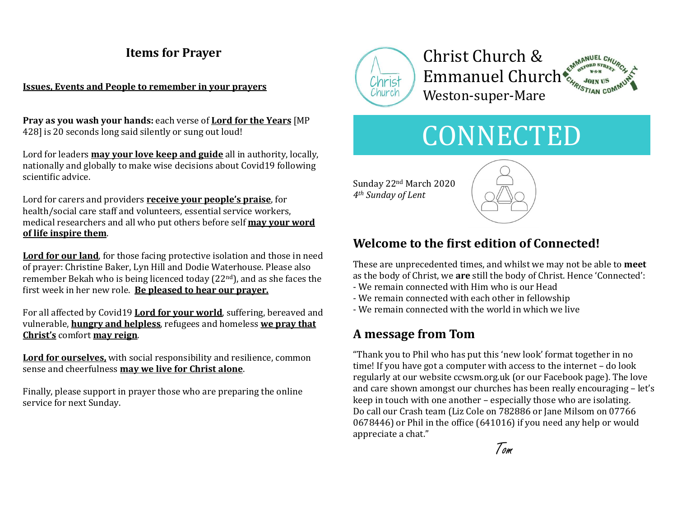# Items for Prayer

#### Issues, Events and People to remember in your prayers

Pray as you wash your hands: each verse of Lord for the Years [MP 428] is 20 seconds long said silently or sung out loud!

Lord for leaders **may your love keep and guide** all in authority, locally, nationally and globally to make wise decisions about Covid19 following scientific advice.

Lord for carers and providers **receive your people's praise**, for health/social care staff and volunteers, essential service workers, medical researchers and all who put others before self may your word of life inspire them.

Lord for our land, for those facing protective isolation and those in need of prayer: Christine Baker, Lyn Hill and Dodie Waterhouse. Please also remember Bekah who is being licenced today (22nd), and as she faces the first week in her new role. Be pleased to hear our prayer.

For all affected by Covid19 **Lord for your world**, suffering, bereaved and vulnerable, **hungry and helpless**, refugees and homeless we pray that Christ's comfort may reign.

Lord for ourselves, with social responsibility and resilience, common sense and cheerfulness **may we live for Christ alone**.<br>Finally, please support in prayer those who are preparing the online

service for next Sunday.



# Christ Church & Emmanuel Church<sup>\*</sup> Weston-super-Mare



Sunday 22nd March 2020 4th Sunday of Lent



# Welcome to the first edition of Connected!

These are unprecedented times, and whilst we may not be able to meet as the body of Christ, we are still the body of Christ. Hence 'Connected':

- We remain connected with Him who is our Head
- We remain connected with each other in fellowship
- We remain connected with the world in which we live

# A message from Tom

"Thank you to Phil who has put this 'new look' format together in no time! If you have got a computer with access to the internet – do look regularly at our website ccwsm.org.uk (or our Facebook page). The love and care shown amongst our churches has been really encouraging – let's keep in touch with one another – especially those who are isolating. Do call our Crash team (Liz Cole on 782886 or Jane Milsom on 07766  $0678446$ ) or Phil in the office (641016) if you need any help or would appreciate a chat."